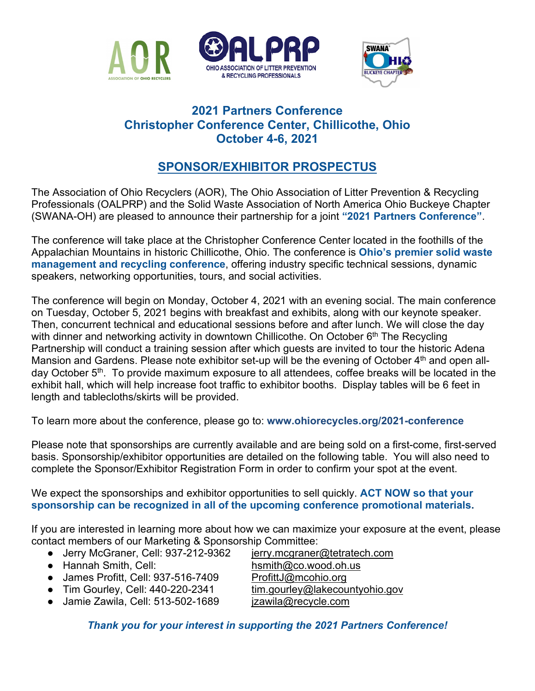





## **2021 Partners Conference Christopher Conference Center, Chillicothe, Ohio October 4-6, 2021**

# **SPONSOR/EXHIBITOR PROSPECTUS**

The Association of Ohio Recyclers (AOR), The Ohio Association of Litter Prevention & Recycling Professionals (OALPRP) and the Solid Waste Association of North America Ohio Buckeye Chapter (SWANA-OH) are pleased to announce their partnership for a joint **"2021 Partners Conference"**.

The conference will take place at the Christopher Conference Center located in the foothills of the Appalachian Mountains in historic Chillicothe, Ohio. The conference is **Ohio's premier solid waste management and recycling conference**, offering industry specific technical sessions, dynamic speakers, networking opportunities, tours, and social activities.

The conference will begin on Monday, October 4, 2021 with an evening social. The main conference on Tuesday, October 5, 2021 begins with breakfast and exhibits, along with our keynote speaker. Then, concurrent technical and educational sessions before and after lunch. We will close the day with dinner and networking activity in downtown Chillicothe. On October  $6<sup>th</sup>$  The Recycling Partnership will conduct a training session after which guests are invited to tour the historic Adena Mansion and Gardens. Please note exhibitor set-up will be the evening of October 4<sup>th</sup> and open allday October 5<sup>th</sup>. To provide maximum exposure to all attendees, coffee breaks will be located in the exhibit hall, which will help increase foot traffic to exhibitor booths. Display tables will be 6 feet in length and tablecloths/skirts will be provided.

To learn more about the conference, please go to: **www[.ohiorecycles.org/2021-conference](http://ohiorecycles.org/2019-conference/)**

Please note that sponsorships are currently available and are being sold on a first-come, first-served basis. Sponsorship/exhibitor opportunities are detailed on the following table. You will also need to complete the Sponsor/Exhibitor Registration Form in order to confirm your spot at the event.

We expect the sponsorships and exhibitor opportunities to sell quickly. **ACT NOW so that your sponsorship can be recognized in all of the upcoming conference promotional materials.**

If you are interested in learning more about how we can maximize your exposure at the event, please contact members of our Marketing & Sponsorship Committee:

- Jerry McGraner, Cell: 937-212-9362 [jerry.mcgraner@tetratech.com](mailto:jerry.mcgraner@tetratech.com)
- 
- $\bullet$  James Profitt, Cell: 937-516-7409
- 
- Tim Gourley, Cell: 440-220-2341 <u>[tim.gourley@lakecountyohio.gov](mailto:tim.gourley@lakecountyohio.gov)</u><br>● Jamie Zawila, Cell: 513-502-1689 izawila@recycle.com  $\bullet$  Jamie Zawila, Cell: 513-502-1689

● Hannah Smith, Cell: https://www.p[hsmith@co.wood.oh.us](mailto:hsmith@co.wood.oh.us)<br>● James Profitt, Cell: 937-516-7409 ProfittJ@mcohio.org

- 
- 

*Thank you for your interest in supporting the 2021 Partners Conference!*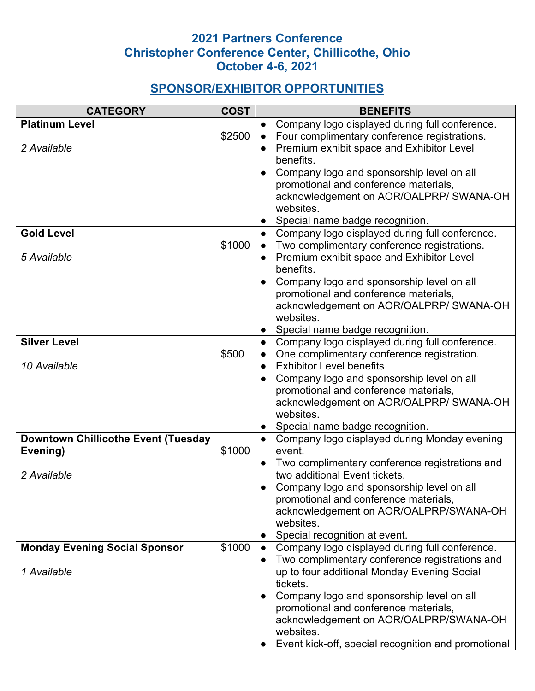## **2021 Partners Conference Christopher Conference Center, Chillicothe, Ohio October 4-6, 2021**

# **SPONSOR/EXHIBITOR OPPORTUNITIES**

| <b>CATEGORY</b>                            | <b>COST</b> | <b>BENEFITS</b> |                                                                                               |  |
|--------------------------------------------|-------------|-----------------|-----------------------------------------------------------------------------------------------|--|
| <b>Platinum Level</b>                      |             |                 | Company logo displayed during full conference.                                                |  |
|                                            | \$2500      |                 | Four complimentary conference registrations.                                                  |  |
| 2 Available                                |             |                 | Premium exhibit space and Exhibitor Level                                                     |  |
|                                            |             |                 | benefits.                                                                                     |  |
|                                            |             |                 | Company logo and sponsorship level on all                                                     |  |
|                                            |             |                 | promotional and conference materials,                                                         |  |
|                                            |             |                 | acknowledgement on AOR/OALPRP/ SWANA-OH                                                       |  |
|                                            |             |                 | websites.                                                                                     |  |
|                                            |             |                 | Special name badge recognition.                                                               |  |
| <b>Gold Level</b>                          |             | $\bullet$       | Company logo displayed during full conference.                                                |  |
|                                            | \$1000      |                 | Two complimentary conference registrations.                                                   |  |
| 5 Available                                |             |                 | Premium exhibit space and Exhibitor Level                                                     |  |
|                                            |             |                 | benefits.                                                                                     |  |
|                                            |             |                 | Company logo and sponsorship level on all                                                     |  |
|                                            |             |                 | promotional and conference materials,                                                         |  |
|                                            |             |                 | acknowledgement on AOR/OALPRP/ SWANA-OH                                                       |  |
|                                            |             |                 | websites.                                                                                     |  |
|                                            |             |                 | Special name badge recognition.                                                               |  |
| <b>Silver Level</b>                        |             | $\bullet$       | Company logo displayed during full conference.                                                |  |
|                                            | \$500       |                 | One complimentary conference registration.                                                    |  |
| 10 Available                               |             |                 | <b>Exhibitor Level benefits</b>                                                               |  |
|                                            |             |                 | Company logo and sponsorship level on all                                                     |  |
|                                            |             |                 | promotional and conference materials,                                                         |  |
|                                            |             |                 | acknowledgement on AOR/OALPRP/ SWANA-OH                                                       |  |
|                                            |             |                 | websites.                                                                                     |  |
|                                            |             |                 | Special name badge recognition.                                                               |  |
| <b>Downtown Chillicothe Event (Tuesday</b> |             |                 | Company logo displayed during Monday evening                                                  |  |
| Evening)                                   | \$1000      |                 | event.                                                                                        |  |
|                                            |             |                 | Two complimentary conference registrations and                                                |  |
| 2 Available                                |             |                 | two additional Event tickets.                                                                 |  |
|                                            |             |                 | Company logo and sponsorship level on all                                                     |  |
|                                            |             |                 | promotional and conference materials,                                                         |  |
|                                            |             |                 | acknowledgement on AOR/OALPRP/SWANA-OH                                                        |  |
|                                            |             |                 | websites.                                                                                     |  |
|                                            | \$1000      |                 | Special recognition at event.                                                                 |  |
| <b>Monday Evening Social Sponsor</b>       |             |                 | Company logo displayed during full conference.                                                |  |
| 1 Available                                |             |                 | Two complimentary conference registrations and<br>up to four additional Monday Evening Social |  |
|                                            |             |                 | tickets.                                                                                      |  |
|                                            |             |                 | Company logo and sponsorship level on all                                                     |  |
|                                            |             |                 | promotional and conference materials,                                                         |  |
|                                            |             |                 | acknowledgement on AOR/OALPRP/SWANA-OH                                                        |  |
|                                            |             |                 | websites.                                                                                     |  |
|                                            |             |                 | Event kick-off, special recognition and promotional                                           |  |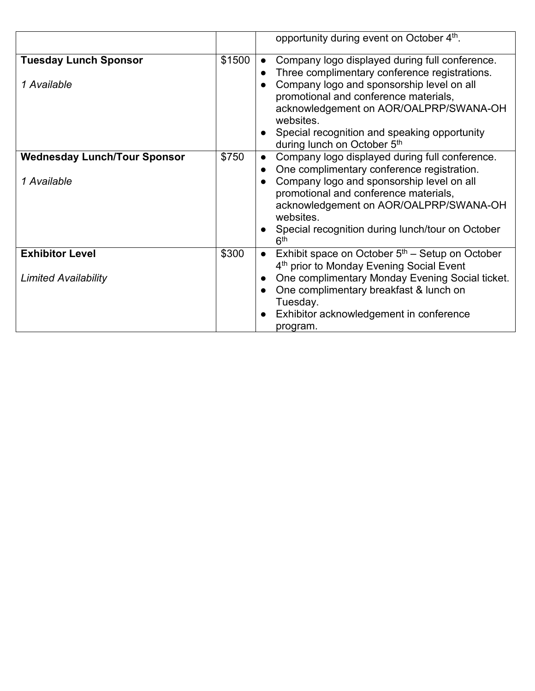|                                     |        | opportunity during event on October 4th.                                                                                                  |
|-------------------------------------|--------|-------------------------------------------------------------------------------------------------------------------------------------------|
| <b>Tuesday Lunch Sponsor</b>        | \$1500 | Company logo displayed during full conference.<br>$\bullet$<br>Three complimentary conference registrations.                              |
| 1 Available                         |        | Company logo and sponsorship level on all<br>promotional and conference materials,<br>acknowledgement on AOR/OALPRP/SWANA-OH<br>websites. |
|                                     |        | Special recognition and speaking opportunity<br>during lunch on October 5th                                                               |
| <b>Wednesday Lunch/Tour Sponsor</b> | \$750  | Company logo displayed during full conference.<br>$\bullet$<br>One complimentary conference registration.                                 |
| 1 Available                         |        | Company logo and sponsorship level on all<br>promotional and conference materials,<br>acknowledgement on AOR/OALPRP/SWANA-OH<br>websites. |
|                                     |        | Special recognition during lunch/tour on October<br>6 <sup>th</sup>                                                                       |
| <b>Exhibitor Level</b>              | \$300  | Exhibit space on October $5th$ – Setup on October<br>4 <sup>th</sup> prior to Monday Evening Social Event                                 |
| <b>Limited Availability</b>         |        | One complimentary Monday Evening Social ticket.<br>One complimentary breakfast & lunch on                                                 |
|                                     |        | Tuesday.<br>Exhibitor acknowledgement in conference<br>program.                                                                           |